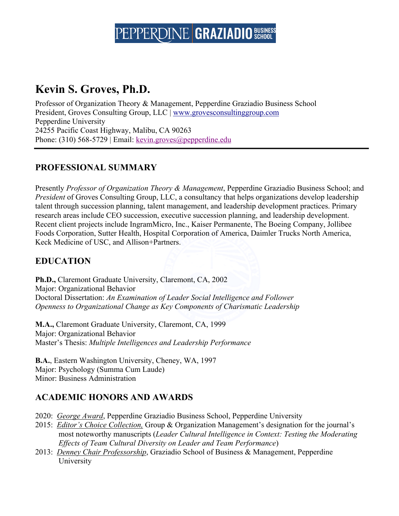### **Kevin S. Groves, Ph.D.**

Professor of Organization Theory & Management, Pepperdine Graziadio Business School President, Groves Consulting Group, LLC | www.grovesconsultinggroup.com Pepperdine University 24255 Pacific Coast Highway, Malibu, CA 90263 Phone: (310) 568-5729 | Email: kevin.groves@pepperdine.edu 

### **PROFESSIONAL SUMMARY**

Presently *Professor of Organization Theory & Management*, Pepperdine Graziadio Business School; and *President* of Groves Consulting Group, LLC, a consultancy that helps organizations develop leadership talent through succession planning, talent management, and leadership development practices. Primary research areas include CEO succession, executive succession planning, and leadership development. Recent client projects include IngramMicro, Inc., Kaiser Permanente, The Boeing Company, Jollibee Foods Corporation, Sutter Health, Hospital Corporation of America, Daimler Trucks North America, Keck Medicine of USC, and Allison+Partners.

### **EDUCATION**

**Ph.D.,** Claremont Graduate University, Claremont, CA, 2002 Major: Organizational Behavior Doctoral Dissertation: *An Examination of Leader Social Intelligence and Follower Openness to Organizational Change as Key Components of Charismatic Leadership*

**M.A.,** Claremont Graduate University, Claremont, CA, 1999 Major: Organizational Behavior Master's Thesis: *Multiple Intelligences and Leadership Performance*

**B.A.**, Eastern Washington University, Cheney, WA, 1997 Major: Psychology (Summa Cum Laude) Minor: Business Administration

### **ACADEMIC HONORS AND AWARDS**

2020: *George Award*, Pepperdine Graziadio Business School, Pepperdine University

- 2015: *Editor's Choice Collection,* Group & Organization Management's designation for the journal's most noteworthy manuscripts (*Leader Cultural Intelligence in Context: Testing the Moderating Effects of Team Cultural Diversity on Leader and Team Performance*)
- 2013: *Denney Chair Professorship*, Graziadio School of Business & Management, Pepperdine University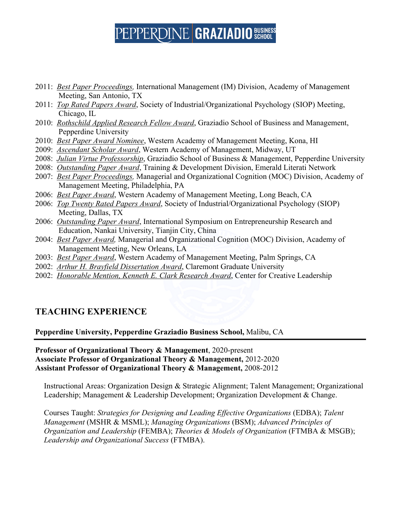- 2011: *Best Paper Proceedings,* International Management (IM) Division, Academy of Management Meeting, San Antonio, TX
- 2011: *Top Rated Papers Award*, Society of Industrial/Organizational Psychology (SIOP) Meeting, Chicago, IL
- 2010: *Rothschild Applied Research Fellow Award*, Graziadio School of Business and Management, Pepperdine University
- 2010: *Best Paper Award Nominee*, Western Academy of Management Meeting, Kona, HI
- 2009: *Ascendant Scholar Award*, Western Academy of Management, Midway, UT
- 2008: *Julian Virtue Professorship*, Graziadio School of Business & Management, Pepperdine University
- 2008: *Outstanding Paper Award*, Training & Development Division, Emerald Literati Network
- 2007: *Best Paper Proceedings,* Managerial and Organizational Cognition (MOC) Division, Academy of Management Meeting, Philadelphia, PA
- 2006: *Best Paper Award*, Western Academy of Management Meeting, Long Beach, CA
- 2006: *Top Twenty Rated Papers Award*, Society of Industrial/Organizational Psychology (SIOP) Meeting, Dallas, TX
- 2006: *Outstanding Paper Award*, International Symposium on Entrepreneurship Research and Education, Nankai University, Tianjin City, China
- 2004: *Best Paper Award,* Managerial and Organizational Cognition (MOC) Division, Academy of Management Meeting, New Orleans, LA
- 2003: *Best Paper Award*, Western Academy of Management Meeting, Palm Springs, CA
- 2002: *Arthur H. Brayfield Dissertation Award*, Claremont Graduate University
- 2002: *Honorable Mention, Kenneth E. Clark Research Award*, Center for Creative Leadership

### **TEACHING EXPERIENCE**

**Pepperdine University, Pepperdine Graziadio Business School,** Malibu, CA

**Professor of Organizational Theory & Management**, 2020-present **Associate Professor of Organizational Theory & Management,** 2012-2020 **Assistant Professor of Organizational Theory & Management,** 2008-2012

Instructional Areas: Organization Design & Strategic Alignment; Talent Management; Organizational Leadership; Management & Leadership Development; Organization Development & Change.

Courses Taught: *Strategies for Designing and Leading Effective Organizations* (EDBA); *Talent Management* (MSHR & MSML); *Managing Organizations* (BSM); *Advanced Principles of Organization and Leadership* (FEMBA); *Theories & Models of Organization* (FTMBA & MSGB); *Leadership and Organizational Success* (FTMBA).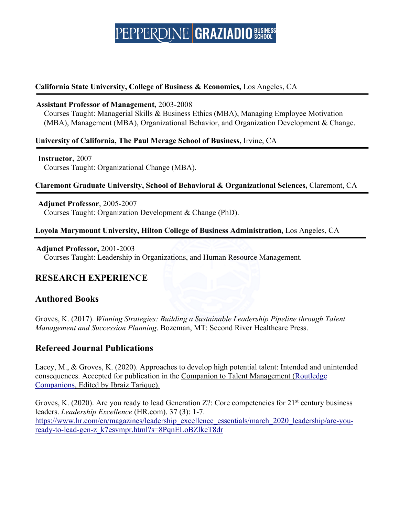#### **California State University, College of Business & Economics,** Los Angeles, CA

#### **Assistant Professor of Management,** 2003-2008

Courses Taught: Managerial Skills & Business Ethics (MBA), Managing Employee Motivation (MBA), Management (MBA), Organizational Behavior, and Organization Development & Change.

#### **University of California, The Paul Merage School of Business,** Irvine, CA

#### **Instructor,** 2007

Courses Taught: Organizational Change (MBA).

#### **Claremont Graduate University, School of Behavioral & Organizational Sciences,** Claremont, CA

 **Adjunct Professor**, 2005-2007 Courses Taught: Organization Development & Change (PhD).

#### **Loyola Marymount University, Hilton College of Business Administration,** Los Angeles, CA

#### **Adjunct Professor,** 2001-2003

Courses Taught: Leadership in Organizations, and Human Resource Management.

### **RESEARCH EXPERIENCE**

#### **Authored Books**

Groves, K. (2017). *Winning Strategies: Building a Sustainable Leadership Pipeline through Talent Management and Succession Planning*. Bozeman, MT: Second River Healthcare Press.

### **Refereed Journal Publications**

Lacey, M., & Groves, K. (2020). Approaches to develop high potential talent: Intended and unintended consequences. Accepted for publication in the Companion to Talent Management (Routledge Companions, Edited by Ibraiz Tarique).

Groves, K. (2020). Are you ready to lead Generation Z?: Core competencies for  $21<sup>st</sup>$  century business leaders. *Leadership Excellence* (HR.com). 37 (3): 1-7. https://www.hr.com/en/magazines/leadership\_excellence\_essentials/march\_2020\_leadership/are-youready-to-lead-gen-z\_k7esvmpr.html?s=8PqnELoBZlkeT8dr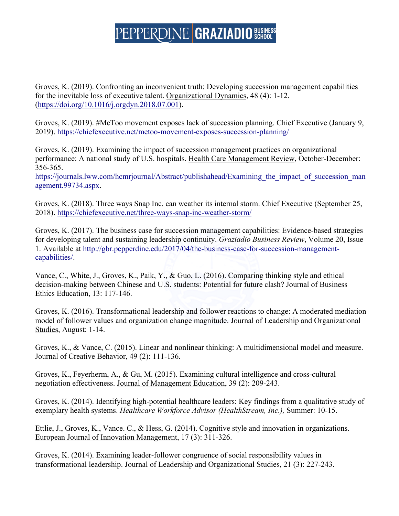Groves, K. (2019). Confronting an inconvenient truth: Developing succession management capabilities for the inevitable loss of executive talent. Organizational Dynamics, 48 (4): 1-12. (https://doi.org/10.1016/j.orgdyn.2018.07.001).

Groves, K. (2019). #MeToo movement exposes lack of succession planning. Chief Executive (January 9, 2019). https://chiefexecutive.net/metoo-movement-exposes-succession-planning/

Groves, K. (2019). Examining the impact of succession management practices on organizational performance: A national study of U.S. hospitals. Health Care Management Review, October-December: 356-365.

https://journals.lww.com/hcmrjournal/Abstract/publishahead/Examining the impact of succession man agement.99734.aspx.

Groves, K. (2018). Three ways Snap Inc. can weather its internal storm. Chief Executive (September 25, 2018). https://chiefexecutive.net/three-ways-snap-inc-weather-storm/

Groves, K. (2017). The business case for succession management capabilities: Evidence-based strategies for developing talent and sustaining leadership continuity. *Graziadio Business Review*, Volume 20, Issue 1. Available at http://gbr.pepperdine.edu/2017/04/the-business-case-for-succession-managementcapabilities/.

Vance, C., White, J., Groves, K., Paik, Y., & Guo, L. (2016). Comparing thinking style and ethical decision-making between Chinese and U.S. students: Potential for future clash? Journal of Business Ethics Education, 13: 117-146.

Groves, K. (2016). Transformational leadership and follower reactions to change: A moderated mediation model of follower values and organization change magnitude. Journal of Leadership and Organizational Studies, August: 1-14.

Groves, K., & Vance, C. (2015). Linear and nonlinear thinking: A multidimensional model and measure. Journal of Creative Behavior, 49 (2): 111-136.

Groves, K., Feyerherm, A., & Gu, M. (2015). Examining cultural intelligence and cross-cultural negotiation effectiveness. Journal of Management Education, 39 (2): 209-243.

Groves, K. (2014). Identifying high-potential healthcare leaders: Key findings from a qualitative study of exemplary health systems. *Healthcare Workforce Advisor (HealthStream, Inc.),* Summer: 10-15.

Ettlie, J., Groves, K., Vance. C., & Hess, G. (2014). Cognitive style and innovation in organizations. European Journal of Innovation Management, 17 (3): 311-326.

Groves, K. (2014). Examining leader-follower congruence of social responsibility values in transformational leadership. Journal of Leadership and Organizational Studies, 21 (3): 227-243.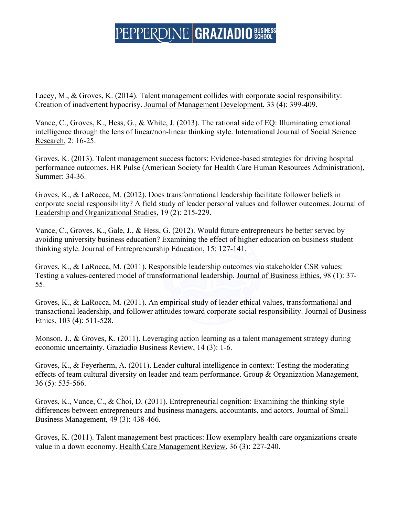Lacey, M., & Groves, K. (2014). Talent management collides with corporate social responsibility: Creation of inadvertent hypocrisy. Journal of Management Development, 33 (4): 399-409.

Vance, C., Groves, K., Hess, G., & White, J. (2013). The rational side of EQ: Illuminating emotional intelligence through the lens of linear/non-linear thinking style. International Journal of Social Science Research, 2: 16-25.

Groves, K. (2013). Talent management success factors: Evidence-based strategies for driving hospital performance outcomes. HR Pulse (American Society for Health Care Human Resources Administration), Summer: 34-36.

Groves, K., & LaRocca, M. (2012). Does transformational leadership facilitate follower beliefs in corporate social responsibility? A field study of leader personal values and follower outcomes. Journal of Leadership and Organizational Studies, 19 (2): 215-229.

Vance, C., Groves, K., Gale, J., & Hess, G. (2012). Would future entrepreneurs be better served by avoiding university business education? Examining the effect of higher education on business student thinking style. Journal of Entrepreneurship Education, 15: 127-141.

Groves, K., & LaRocca, M. (2011). Responsible leadership outcomes via stakeholder CSR values: Testing a values-centered model of transformational leadership. Journal of Business Ethics, 98 (1): 37- 55.

Groves, K., & LaRocca, M. (2011). An empirical study of leader ethical values, transformational and transactional leadership, and follower attitudes toward corporate social responsibility. Journal of Business Ethics, 103 (4): 511-528.

Monson, J., & Groves, K. (2011). Leveraging action learning as a talent management strategy during economic uncertainty. Graziadio Business Review, 14 (3): 1-6.

Groves, K., & Feyerherm, A. (2011). Leader cultural intelligence in context: Testing the moderating effects of team cultural diversity on leader and team performance. Group & Organization Management, 36 (5): 535-566.

Groves, K., Vance, C., & Choi, D. (2011). Entrepreneurial cognition: Examining the thinking style differences between entrepreneurs and business managers, accountants, and actors. Journal of Small Business Management, 49 (3): 438-466.

Groves, K. (2011). Talent management best practices: How exemplary health care organizations create value in a down economy. Health Care Management Review, 36 (3): 227-240.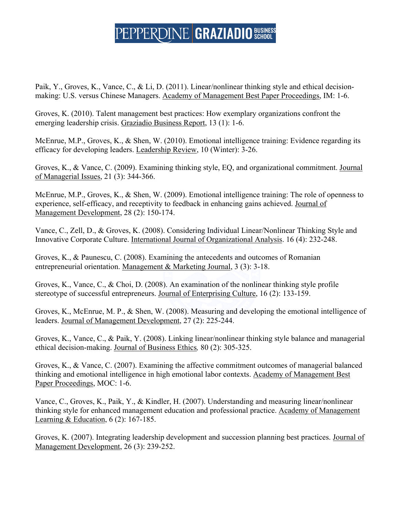Paik, Y., Groves, K., Vance, C., & Li, D. (2011). Linear/nonlinear thinking style and ethical decisionmaking: U.S. versus Chinese Managers. Academy of Management Best Paper Proceedings, IM: 1-6.

Groves, K. (2010). Talent management best practices: How exemplary organizations confront the emerging leadership crisis. Graziadio Business Report, 13 (1): 1-6.

McEnrue, M.P., Groves, K., & Shen, W. (2010). Emotional intelligence training: Evidence regarding its efficacy for developing leaders. Leadership Review, 10 (Winter): 3-26.

Groves, K., & Vance, C. (2009). Examining thinking style, EQ, and organizational commitment. Journal of Managerial Issues, 21 (3): 344-366.

McEnrue, M.P., Groves, K., & Shen, W. (2009). Emotional intelligence training: The role of openness to experience, self-efficacy, and receptivity to feedback in enhancing gains achieved. Journal of Management Development, 28 (2): 150-174.

Vance, C., Zell, D., & Groves, K. (2008). Considering Individual Linear/Nonlinear Thinking Style and Innovative Corporate Culture. International Journal of Organizational Analysis. 16 (4): 232-248.

Groves, K., & Paunescu, C. (2008). Examining the antecedents and outcomes of Romanian entrepreneurial orientation. Management & Marketing Journal, 3 (3): 3-18.

Groves, K., Vance, C., & Choi, D. (2008). An examination of the nonlinear thinking style profile stereotype of successful entrepreneurs. Journal of Enterprising Culture, 16 (2): 133-159.

Groves, K., McEnrue, M. P., & Shen, W. (2008). Measuring and developing the emotional intelligence of leaders. Journal of Management Development, 27 (2): 225-244.

Groves, K., Vance, C., & Paik, Y. (2008). Linking linear/nonlinear thinking style balance and managerial ethical decision-making. Journal of Business Ethics*,* 80 (2): 305-325.

Groves, K., & Vance, C. (2007). Examining the affective commitment outcomes of managerial balanced thinking and emotional intelligence in high emotional labor contexts. Academy of Management Best Paper Proceedings, MOC: 1-6.

Vance, C., Groves, K., Paik, Y., & Kindler, H. (2007). Understanding and measuring linear/nonlinear thinking style for enhanced management education and professional practice. Academy of Management Learning & Education, 6 (2): 167-185.

Groves, K. (2007). Integrating leadership development and succession planning best practices. Journal of Management Development, 26 (3): 239-252.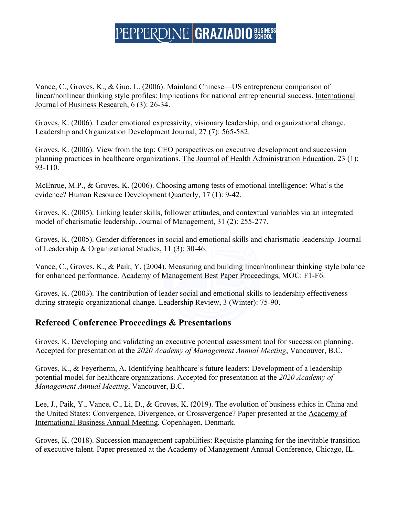Vance, C., Groves, K., & Guo, L. (2006). Mainland Chinese—US entrepreneur comparison of linear/nonlinear thinking style profiles: Implications for national entrepreneurial success. International Journal of Business Research, 6 (3): 26-34.

Groves, K. (2006). Leader emotional expressivity, visionary leadership, and organizational change. Leadership and Organization Development Journal, 27 (7): 565-582.

Groves, K. (2006). View from the top: CEO perspectives on executive development and succession planning practices in healthcare organizations. The Journal of Health Administration Education, 23 (1): 93-110.

McEnrue, M.P., & Groves, K. (2006). Choosing among tests of emotional intelligence: What's the evidence? Human Resource Development Quarterly, 17 (1): 9-42.

Groves, K. (2005). Linking leader skills, follower attitudes, and contextual variables via an integrated model of charismatic leadership. Journal of Management, 31 (2): 255-277.

Groves, K. (2005). Gender differences in social and emotional skills and charismatic leadership. Journal of Leadership & Organizational Studies, 11 (3): 30-46.

Vance, C., Groves, K., & Paik, Y. (2004). Measuring and building linear/nonlinear thinking style balance for enhanced performance. Academy of Management Best Paper Proceedings, MOC: F1-F6.

Groves, K. (2003). The contribution of leader social and emotional skills to leadership effectiveness during strategic organizational change. Leadership Review, 3 (Winter): 75-90.

### **Refereed Conference Proceedings & Presentations**

Groves, K. Developing and validating an executive potential assessment tool for succession planning. Accepted for presentation at the *2020 Academy of Management Annual Meeting*, Vancouver, B.C.

Groves, K., & Feyerherm, A. Identifying healthcare's future leaders: Development of a leadership potential model for healthcare organizations. Accepted for presentation at the *2020 Academy of Management Annual Meeting*, Vancouver, B.C.

Lee, J., Paik, Y., Vance, C., Li, D., & Groves, K. (2019). The evolution of business ethics in China and the United States: Convergence, Divergence, or Crossvergence? Paper presented at the Academy of International Business Annual Meeting, Copenhagen, Denmark.

Groves, K. (2018). Succession management capabilities: Requisite planning for the inevitable transition of executive talent. Paper presented at the Academy of Management Annual Conference, Chicago, IL.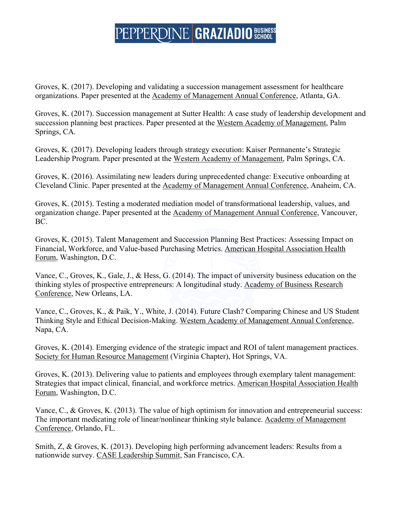Groves, K. (2017). Developing and validating a succession management assessment for healthcare organizations. Paper presented at the Academy of Management Annual Conference, Atlanta, GA.

Groves, K. (2017). Succession management at Sutter Health: A case study of leadership development and succession planning best practices. Paper presented at the Western Academy of Management, Palm Springs, CA.

Groves, K. (2017). Developing leaders through strategy execution: Kaiser Permanente's Strategic Leadership Program. Paper presented at the Western Academy of Management, Palm Springs, CA.

Groves, K. (2016). Assimilating new leaders during unprecedented change: Executive onboarding at Cleveland Clinic. Paper presented at the Academy of Management Annual Conference, Anaheim, CA.

Groves, K. (2015). Testing a moderated mediation model of transformational leadership, values, and organization change. Paper presented at the Academy of Management Annual Conference, Vancouver, BC.

Groves, K. (2015). Talent Management and Succession Planning Best Practices: Assessing Impact on Financial, Workforce, and Value-based Purchasing Metrics. American Hospital Association Health Forum, Washington, D.C.

Vance, C., Groves, K., Gale, J., & Hess, G. (2014). The impact of university business education on the thinking styles of prospective entrepreneurs: A longitudinal study. Academy of Business Research Conference, New Orleans, LA.

Vance, C., Groves, K., & Paik, Y., White, J. (2014). Future Clash? Comparing Chinese and US Student Thinking Style and Ethical Decision-Making. Western Academy of Management Annual Conference, Napa, CA.

Groves, K. (2014). Emerging evidence of the strategic impact and ROI of talent management practices. Society for Human Resource Management (Virginia Chapter), Hot Springs, VA.

Groves, K. (2013). Delivering value to patients and employees through exemplary talent management: Strategies that impact clinical, financial, and workforce metrics. American Hospital Association Health Forum, Washington, D.C.

Vance, C., & Groves, K. (2013). The value of high optimism for innovation and entrepreneurial success: The important medicating role of linear/nonlinear thinking style balance. Academy of Management Conference, Orlando, FL.

Smith, Z, & Groves, K. (2013). Developing high performing advancement leaders: Results from a nationwide survey. CASE Leadership Summit, San Francisco, CA.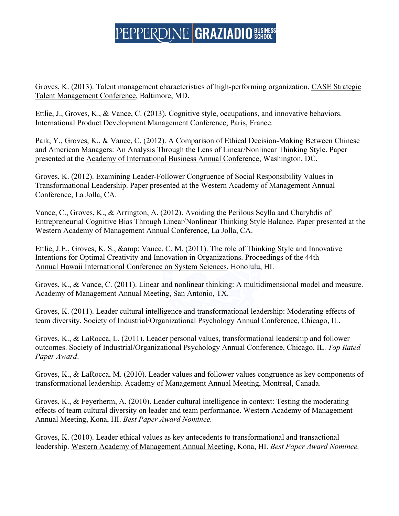Groves, K. (2013). Talent management characteristics of high-performing organization. CASE Strategic Talent Management Conference, Baltimore, MD.

Ettlie, J., Groves, K., & Vance, C. (2013). Cognitive style, occupations, and innovative behaviors. International Product Development Management Conference, Paris, France.

Paik, Y., Groves, K., & Vance, C. (2012). A Comparison of Ethical Decision-Making Between Chinese and American Managers: An Analysis Through the Lens of Linear/Nonlinear Thinking Style. Paper presented at the Academy of International Business Annual Conference, Washington, DC.

Groves, K. (2012). Examining Leader-Follower Congruence of Social Responsibility Values in Transformational Leadership. Paper presented at the Western Academy of Management Annual Conference, La Jolla, CA.

Vance, C., Groves, K., & Arrington, A. (2012). Avoiding the Perilous Scylla and Charybdis of Entrepreneurial Cognitive Bias Through Linear/Nonlinear Thinking Style Balance. Paper presented at the Western Academy of Management Annual Conference, La Jolla, CA.

Ettlie, J.E., Groves, K. S., & amp; Vance, C. M. (2011). The role of Thinking Style and Innovative Intentions for Optimal Creativity and Innovation in Organizations. Proceedings of the 44th Annual Hawaii International Conference on System Sciences, Honolulu, HI.

Groves, K., & Vance, C. (2011). Linear and nonlinear thinking: A multidimensional model and measure. Academy of Management Annual Meeting, San Antonio, TX.

Groves, K. (2011). Leader cultural intelligence and transformational leadership: Moderating effects of team diversity. Society of Industrial/Organizational Psychology Annual Conference, Chicago, IL.

Groves, K., & LaRocca, L. (2011). Leader personal values, transformational leadership and follower outcomes. Society of Industrial/Organizational Psychology Annual Conference, Chicago, IL. *Top Rated Paper Award*.

Groves, K., & LaRocca, M. (2010). Leader values and follower values congruence as key components of transformational leadership. Academy of Management Annual Meeting, Montreal, Canada.

Groves, K., & Feyerherm, A. (2010). Leader cultural intelligence in context: Testing the moderating effects of team cultural diversity on leader and team performance. Western Academy of Management Annual Meeting, Kona, HI. *Best Paper Award Nominee.*

Groves, K. (2010). Leader ethical values as key antecedents to transformational and transactional leadership. Western Academy of Management Annual Meeting, Kona, HI. *Best Paper Award Nominee.*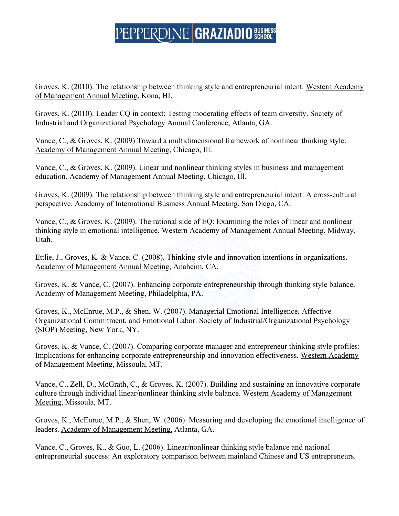Groves, K. (2010). The relationship between thinking style and entrepreneurial intent. Western Academy of Management Annual Meeting, Kona, HI.

Groves, K. (2010). Leader CQ in context: Testing moderating effects of team diversity. Society of Industrial and Organizational Psychology Annual Conference, Atlanta, GA.

Vance, C., & Groves, K. (2009) Toward a multidimensional framework of nonlinear thinking style. Academy of Management Annual Meeting, Chicago, Ill.

Vance, C., & Groves, K. (2009). Linear and nonlinear thinking styles in business and management education. Academy of Management Annual Meeting, Chicago, Ill.

Groves, K. (2009). The relationship between thinking style and entrepreneurial intent: A cross-cultural perspective. Academy of International Business Annual Meeting, San Diego, CA.

Vance, C., & Groves, K. (2009). The rational side of EQ: Examining the roles of linear and nonlinear thinking style in emotional intelligence. Western Academy of Management Annual Meeting, Midway, Utah.

Ettlie, J., Groves, K. & Vance, C. (2008). Thinking style and innovation intentions in organizations. Academy of Management Annual Meeting, Anaheim, CA.

Groves, K. & Vance, C. (2007). Enhancing corporate entrepreneurship through thinking style balance. Academy of Management Meeting, Philadelphia, PA.

Groves, K., McEnrue, M.P., & Shen, W. (2007). Managerial Emotional Intelligence, Affective Organizational Commitment, and Emotional Labor. Society of Industrial/Organizational Psychology (SIOP) Meeting, New York, NY.

Groves, K. & Vance, C. (2007). Comparing corporate manager and entrepreneur thinking style profiles: Implications for enhancing corporate entrepreneurship and innovation effectiveness. Western Academy of Management Meeting, Missoula, MT.

Vance, C., Zell, D., McGrath, C., & Groves, K. (2007). Building and sustaining an innovative corporate culture through individual linear/nonlinear thinking style balance. Western Academy of Management Meeting, Missoula, MT.

Groves, K., McEnrue, M.P., & Shen, W. (2006). Measuring and developing the emotional intelligence of leaders. Academy of Management Meeting, Atlanta, GA.

Vance, C., Groves, K., & Guo, L. (2006). Linear/nonlinear thinking style balance and national entrepreneurial success: An exploratory comparison between mainland Chinese and US entrepreneurs.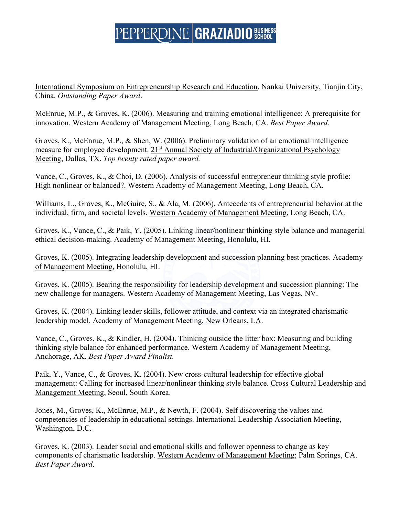International Symposium on Entrepreneurship Research and Education, Nankai University, Tianjin City, China. *Outstanding Paper Award*.

McEnrue, M.P., & Groves, K. (2006). Measuring and training emotional intelligence: A prerequisite for innovation. Western Academy of Management Meeting, Long Beach, CA. *Best Paper Award*.

Groves, K., McEnrue, M.P., & Shen, W. (2006). Preliminary validation of an emotional intelligence measure for employee development. 21<sup>st</sup> Annual Society of Industrial/Organizational Psychology Meeting, Dallas, TX. *Top twenty rated paper award.*

Vance, C., Groves, K., & Choi, D. (2006). Analysis of successful entrepreneur thinking style profile: High nonlinear or balanced?. Western Academy of Management Meeting, Long Beach, CA.

Williams, L., Groves, K., McGuire, S., & Ala, M. (2006). Antecedents of entrepreneurial behavior at the individual, firm, and societal levels. Western Academy of Management Meeting, Long Beach, CA.

Groves, K., Vance, C., & Paik, Y. (2005). Linking linear/nonlinear thinking style balance and managerial ethical decision-making. Academy of Management Meeting, Honolulu, HI.

Groves, K. (2005). Integrating leadership development and succession planning best practices. Academy of Management Meeting, Honolulu, HI.

Groves, K. (2005). Bearing the responsibility for leadership development and succession planning: The new challenge for managers. Western Academy of Management Meeting, Las Vegas, NV.

Groves, K. (2004). Linking leader skills, follower attitude, and context via an integrated charismatic leadership model. Academy of Management Meeting, New Orleans, LA.

Vance, C., Groves, K., & Kindler, H. (2004). Thinking outside the litter box: Measuring and building thinking style balance for enhanced performance. Western Academy of Management Meeting, Anchorage, AK. *Best Paper Award Finalist.*

Paik, Y., Vance, C., & Groves, K. (2004). New cross-cultural leadership for effective global management: Calling for increased linear/nonlinear thinking style balance. Cross Cultural Leadership and Management Meeting, Seoul, South Korea.

Jones, M., Groves, K., McEnrue, M.P., & Newth, F. (2004). Self discovering the values and competencies of leadership in educational settings. International Leadership Association Meeting, Washington, D.C.

Groves, K. (2003). Leader social and emotional skills and follower openness to change as key components of charismatic leadership. Western Academy of Management Meeting; Palm Springs, CA. *Best Paper Award*.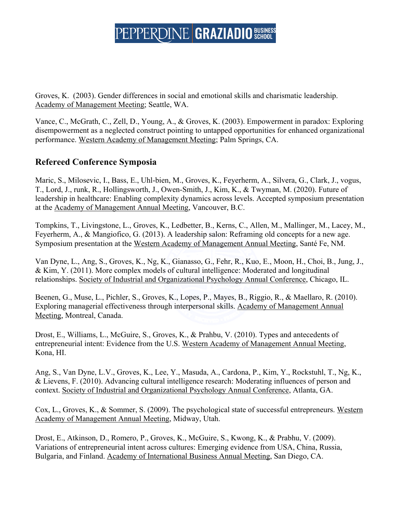Groves, K. (2003). Gender differences in social and emotional skills and charismatic leadership. Academy of Management Meeting; Seattle, WA.

Vance, C., McGrath, C., Zell, D., Young, A., & Groves, K. (2003). Empowerment in paradox: Exploring disempowerment as a neglected construct pointing to untapped opportunities for enhanced organizational performance. Western Academy of Management Meeting; Palm Springs, CA.

### **Refereed Conference Symposia**

Maric, S., Milosevic, I., Bass, E., Uhl-bien, M., Groves, K., Feyerherm, A., Silvera, G., Clark, J., vogus, T., Lord, J., runk, R., Hollingsworth, J., Owen-Smith, J., Kim, K., & Twyman, M. (2020). Future of leadership in healthcare: Enabling complexity dynamics across levels. Accepted symposium presentation at the Academy of Management Annual Meeting, Vancouver, B.C.

Tompkins, T., Livingstone, L., Groves, K., Ledbetter, B., Kerns, C., Allen, M., Mallinger, M., Lacey, M., Feyerherm, A., & Mangiofico, G. (2013). A leadership salon: Reframing old concepts for a new age. Symposium presentation at the Western Academy of Management Annual Meeting, Santé Fe, NM.

Van Dyne, L., Ang, S., Groves, K., Ng, K., Gianasso, G., Fehr, R., Kuo, E., Moon, H., Choi, B., Jung, J., & Kim, Y. (2011). More complex models of cultural intelligence: Moderated and longitudinal relationships. Society of Industrial and Organizational Psychology Annual Conference, Chicago, IL.

Beenen, G., Muse, L., Pichler, S., Groves, K., Lopes, P., Mayes, B., Riggio, R., & Maellaro, R. (2010). Exploring managerial effectiveness through interpersonal skills. Academy of Management Annual Meeting, Montreal, Canada.

Drost, E., Williams, L., McGuire, S., Groves, K., & Prahbu, V. (2010). Types and antecedents of entrepreneurial intent: Evidence from the U.S. Western Academy of Management Annual Meeting, Kona, HI.

Ang, S., Van Dyne, L.V., Groves, K., Lee, Y., Masuda, A., Cardona, P., Kim, Y., Rockstuhl, T., Ng, K., & Lievens, F. (2010). Advancing cultural intelligence research: Moderating influences of person and context. Society of Industrial and Organizational Psychology Annual Conference, Atlanta, GA.

Cox, L., Groves, K., & Sommer, S. (2009). The psychological state of successful entrepreneurs. Western Academy of Management Annual Meeting, Midway, Utah.

Drost, E., Atkinson, D., Romero, P., Groves, K., McGuire, S., Kwong, K., & Prabhu, V. (2009). Variations of entrepreneurial intent across cultures: Emerging evidence from USA, China, Russia, Bulgaria, and Finland. Academy of International Business Annual Meeting, San Diego, CA.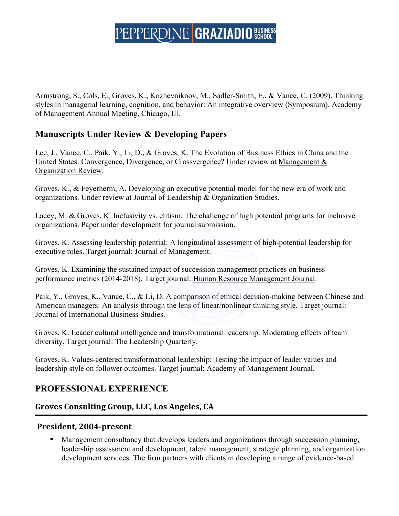Armstrong, S., Cols, E., Groves, K., Kozhevniknov, M., Sadler-Smith, E., & Vance, C. (2009). Thinking styles in managerial learning, cognition, and behavior: An integrative overview (Symposium). Academy of Management Annual Meeting, Chicago, Ill.

### **Manuscripts Under Review & Developing Papers**

Lee, J., Vance, C., Paik, Y., Li, D., & Groves, K. The Evolution of Business Ethics in China and the United States: Convergence, Divergence, or Crossvergence? Under review at Management & Organization Review.

Groves, K., & Feyerherm, A. Developing an executive potential model for the new era of work and organizations. Under review at Journal of Leadership & Organization Studies.

Lacey, M. & Groves, K. Inclusivity vs. elitism: The challenge of high potential programs for inclusive organizations. Paper under development for journal submission.

Groves, K. Assessing leadership potential: A longitudinal assessment of high-potential leadership for executive roles. Target journal: Journal of Management.

Groves, K. Examining the sustained impact of succession management practices on business performance metrics (2014-2018). Target journal: Human Resource Management Journal.

Paik, Y., Groves, K., Vance, C., & Li, D. A comparison of ethical decision-making between Chinese and American managers: An analysis through the lens of linear/nonlinear thinking style. Target journal: Journal of International Business Studies.

Groves, K. Leader cultural intelligence and transformational leadership: Moderating effects of team diversity. Target journal: The Leadership Quarterly.

Groves, K. Values-centered transformational leadership: Testing the impact of leader values and leadership style on follower outcomes. Target journal: Academy of Management Journal.

### **PROFESSIONAL EXPERIENCE**

### **Groves Consulting Group, LLC, Los Angeles, CA**

### **President, 2004-present**

■ Management consultancy that develops leaders and organizations through succession planning, leadership assessment and development, talent management, strategic planning, and organization development services. The firm partners with clients in developing a range of evidence-based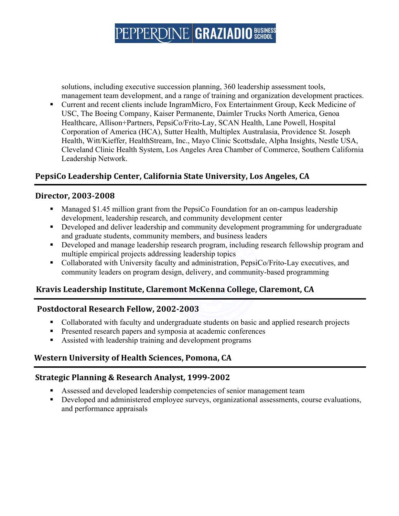solutions, including executive succession planning, 360 leadership assessment tools, management team development, and a range of training and organization development practices.

§ Current and recent clients include IngramMicro, Fox Entertainment Group, Keck Medicine of USC, The Boeing Company, Kaiser Permanente, Daimler Trucks North America, Genoa Healthcare, Allison+Partners, PepsiCo/Frito-Lay, SCAN Health, Lane Powell, Hospital Corporation of America (HCA), Sutter Health, Multiplex Australasia, Providence St. Joseph Health, Witt/Kieffer, HealthStream, Inc., Mayo Clinic Scottsdale, Alpha Insights, Nestle USA, Cleveland Clinic Health System, Los Angeles Area Chamber of Commerce, Southern California Leadership Network.

### PepsiCo Leadership Center, California State University, Los Angeles, CA

#### **Director, 2003-2008**

- Managed \$1.45 million grant from the PepsiCo Foundation for an on-campus leadership development, leadership research, and community development center
- Developed and deliver leadership and community development programming for undergraduate and graduate students, community members, and business leaders
- Developed and manage leadership research program, including research fellowship program and multiple empirical projects addressing leadership topics
- Collaborated with University faculty and administration, PepsiCo/Frito-Lay executives, and community leaders on program design, delivery, and community-based programming

### **Kravis Leadership Institute, Claremont McKenna College, Claremont, CA**

#### **Postdoctoral Research Fellow, 2002-2003**

- Collaborated with faculty and undergraduate students on basic and applied research projects
- **•** Presented research papers and symposia at academic conferences
- Assisted with leadership training and development programs

### **Western University of Health Sciences, Pomona, CA**

### **Strategic Planning & Research Analyst, 1999-2002**

- § Assessed and developed leadership competencies of senior management team
- Developed and administered employee surveys, organizational assessments, course evaluations, and performance appraisals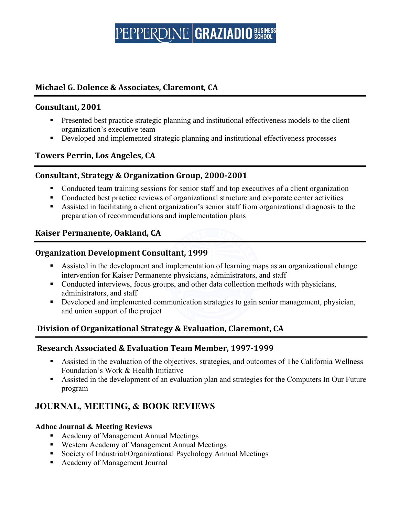### **Michael G. Dolence & Associates, Claremont, CA**

#### **Consultant, 2001**

- Presented best practice strategic planning and institutional effectiveness models to the client organization's executive team
- Developed and implemented strategic planning and institutional effectiveness processes

### **Towers Perrin, Los Angeles, CA**

#### **Consultant, Strategy & Organization Group, 2000-2001**

- § Conducted team training sessions for senior staff and top executives of a client organization
- Conducted best practice reviews of organizational structure and corporate center activities
- Assisted in facilitating a client organization's senior staff from organizational diagnosis to the preparation of recommendations and implementation plans

### **Kaiser Permanente, Oakland, CA**

#### **Organization Development Consultant, 1999**

- § Assisted in the development and implementation of learning maps as an organizational change intervention for Kaiser Permanente physicians, administrators, and staff
- Conducted interviews, focus groups, and other data collection methods with physicians, administrators, and staff
- Developed and implemented communication strategies to gain senior management, physician, and union support of the project

### **Division of Organizational Strategy & Evaluation, Claremont, CA**

#### **Research Associated & Evaluation Team Member, 1997-1999**

- Assisted in the evaluation of the objectives, strategies, and outcomes of The California Wellness Foundation's Work & Health Initiative
- Assisted in the development of an evaluation plan and strategies for the Computers In Our Future program

### **JOURNAL, MEETING, & BOOK REVIEWS**

#### **Adhoc Journal & Meeting Reviews**

- Academy of Management Annual Meetings
- Western Academy of Management Annual Meetings
- Society of Industrial/Organizational Psychology Annual Meetings
- Academy of Management Journal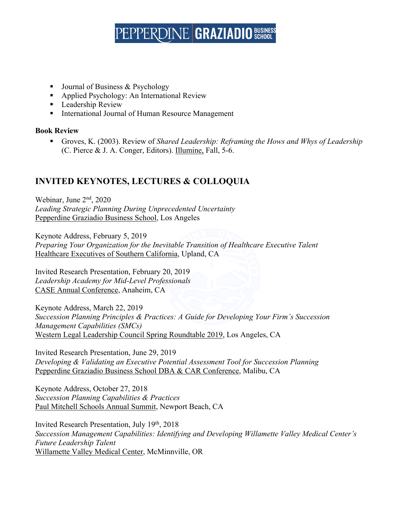- Journal of Business & Psychology
- Applied Psychology: An International Review
- Leadership Review
- International Journal of Human Resource Management

#### **Book Review**

■ Groves, K. (2003). Review of *Shared Leadership: Reframing the Hows and Whys of Leadership* (C. Pierce & J. A. Conger, Editors). Illumine, Fall, 5-6.

### **INVITED KEYNOTES, LECTURES & COLLOQUIA**

Webinar, June 2nd, 2020 *Leading Strategic Planning During Unprecedented Uncertainty* Pepperdine Graziadio Business School, Los Angeles

Keynote Address, February 5, 2019 *Preparing Your Organization for the Inevitable Transition of Healthcare Executive Talent* Healthcare Executives of Southern California, Upland, CA

Invited Research Presentation, February 20, 2019 *Leadership Academy for Mid-Level Professionals* CASE Annual Conference, Anaheim, CA

Keynote Address, March 22, 2019 *Succession Planning Principles & Practices: A Guide for Developing Your Firm's Succession Management Capabilities (SMCs)* Western Legal Leadership Council Spring Roundtable 2019, Los Angeles, CA

Invited Research Presentation, June 29, 2019 *Developing & Validating an Executive Potential Assessment Tool for Succession Planning* Pepperdine Graziadio Business School DBA & CAR Conference, Malibu, CA

Keynote Address, October 27, 2018 *Succession Planning Capabilities & Practices* Paul Mitchell Schools Annual Summit, Newport Beach, CA

Invited Research Presentation, July 19th, 2018 *Succession Management Capabilities: Identifying and Developing Willamette Valley Medical Center's Future Leadership Talent* Willamette Valley Medical Center, McMinnville, OR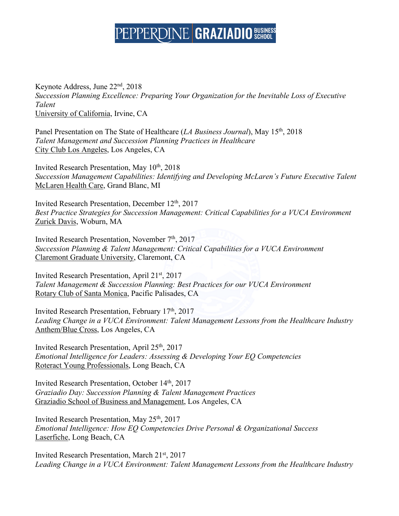Keynote Address, June 22nd, 2018 *Succession Planning Excellence: Preparing Your Organization for the Inevitable Loss of Executive Talent* University of California, Irvine, CA

Panel Presentation on The State of Healthcare (*LA Business Journal*), May 15th, 2018 *Talent Management and Succession Planning Practices in Healthcare* City Club Los Angeles, Los Angeles, CA

Invited Research Presentation, May 10th, 2018 *Succession Management Capabilities: Identifying and Developing McLaren's Future Executive Talent* McLaren Health Care, Grand Blanc, MI

Invited Research Presentation, December 12<sup>th</sup>, 2017 *Best Practice Strategies for Succession Management: Critical Capabilities for a VUCA Environment* Zurick Davis, Woburn, MA

Invited Research Presentation, November 7<sup>th</sup>, 2017 *Succession Planning & Talent Management: Critical Capabilities for a VUCA Environment* Claremont Graduate University, Claremont, CA

Invited Research Presentation, April 21st, 2017 *Talent Management & Succession Planning: Best Practices for our VUCA Environment* Rotary Club of Santa Monica, Pacific Palisades, CA

Invited Research Presentation, February 17th, 2017 *Leading Change in a VUCA Environment: Talent Management Lessons from the Healthcare Industry* Anthem/Blue Cross, Los Angeles, CA

Invited Research Presentation, April 25th, 2017 *Emotional Intelligence for Leaders: Assessing & Developing Your EQ Competencies* Roteract Young Professionals, Long Beach, CA

Invited Research Presentation, October 14th, 2017 *Graziadio Day: Succession Planning & Talent Management Practices* Graziadio School of Business and Management, Los Angeles, CA

Invited Research Presentation, May 25th, 2017 *Emotional Intelligence: How EQ Competencies Drive Personal & Organizational Success* Laserfiche, Long Beach, CA

Invited Research Presentation, March 21st, 2017 *Leading Change in a VUCA Environment: Talent Management Lessons from the Healthcare Industry*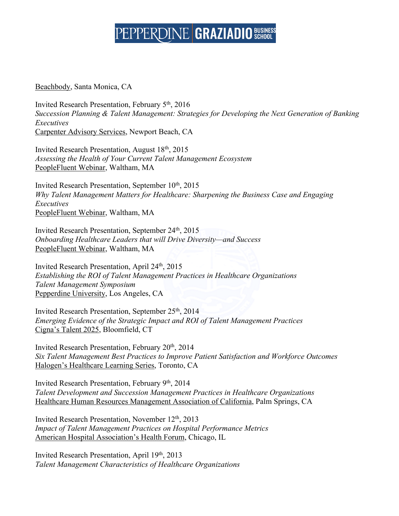Beachbody, Santa Monica, CA

Invited Research Presentation, February 5th, 2016 *Succession Planning & Talent Management: Strategies for Developing the Next Generation of Banking Executives* Carpenter Advisory Services, Newport Beach, CA

Invited Research Presentation, August 18th, 2015 *Assessing the Health of Your Current Talent Management Ecosystem* PeopleFluent Webinar, Waltham, MA

Invited Research Presentation, September 10<sup>th</sup>, 2015 *Why Talent Management Matters for Healthcare: Sharpening the Business Case and Engaging Executives* PeopleFluent Webinar, Waltham, MA

Invited Research Presentation, September 24<sup>th</sup>, 2015 *Onboarding Healthcare Leaders that will Drive Diversity—and Success* PeopleFluent Webinar, Waltham, MA

Invited Research Presentation, April 24th, 2015 *Establishing the ROI of Talent Management Practices in Healthcare Organizations Talent Management Symposium* Pepperdine University, Los Angeles, CA

Invited Research Presentation, September 25th, 2014 *Emerging Evidence of the Strategic Impact and ROI of Talent Management Practices* Cigna's Talent 2025, Bloomfield, CT

Invited Research Presentation, February 20th, 2014 *Six Talent Management Best Practices to Improve Patient Satisfaction and Workforce Outcomes* Halogen's Healthcare Learning Series, Toronto, CA

Invited Research Presentation, February 9th, 2014 *Talent Development and Succession Management Practices in Healthcare Organizations* Healthcare Human Resources Management Association of California, Palm Springs, CA

Invited Research Presentation, November 12<sup>th</sup>, 2013 *Impact of Talent Management Practices on Hospital Performance Metrics* American Hospital Association's Health Forum, Chicago, IL

Invited Research Presentation, April 19th, 2013 *Talent Management Characteristics of Healthcare Organizations*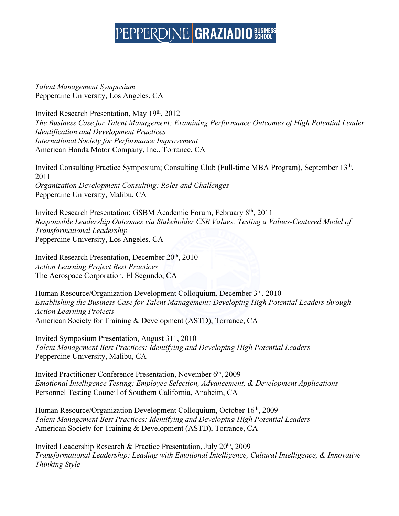*Talent Management Symposium* Pepperdine University, Los Angeles, CA

Invited Research Presentation, May 19th, 2012 *The Business Case for Talent Management: Examining Performance Outcomes of High Potential Leader Identification and Development Practices International Society for Performance Improvement* American Honda Motor Company, Inc., Torrance, CA

Invited Consulting Practice Symposium; Consulting Club (Full-time MBA Program), September 13th, 2011 *Organization Development Consulting: Roles and Challenges* Pepperdine University, Malibu, CA

Invited Research Presentation; GSBM Academic Forum, February 8th, 2011 *Responsible Leadership Outcomes via Stakeholder CSR Values: Testing a Values-Centered Model of Transformational Leadership* Pepperdine University, Los Angeles, CA

Invited Research Presentation, December 20th, 2010 *Action Learning Project Best Practices* The Aerospace Corporation, El Segundo, CA

Human Resource/Organization Development Colloquium, December 3rd, 2010 *Establishing the Business Case for Talent Management: Developing High Potential Leaders through Action Learning Projects* American Society for Training & Development (ASTD), Torrance, CA

Invited Symposium Presentation, August 31st, 2010 *Talent Management Best Practices: Identifying and Developing High Potential Leaders* Pepperdine University, Malibu, CA

Invited Practitioner Conference Presentation, November 6<sup>th</sup>, 2009 *Emotional Intelligence Testing: Employee Selection, Advancement, & Development Applications* Personnel Testing Council of Southern California, Anaheim, CA

Human Resource/Organization Development Colloquium, October 16<sup>th</sup>, 2009 *Talent Management Best Practices: Identifying and Developing High Potential Leaders* American Society for Training & Development (ASTD), Torrance, CA

Invited Leadership Research & Practice Presentation, July 20th, 2009 *Transformational Leadership: Leading with Emotional Intelligence, Cultural Intelligence, & Innovative Thinking Style*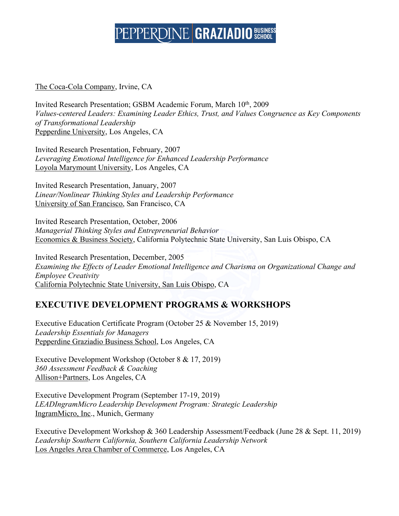#### The Coca-Cola Company, Irvine, CA

Invited Research Presentation; GSBM Academic Forum, March 10<sup>th</sup>, 2009 *Values-centered Leaders: Examining Leader Ethics, Trust, and Values Congruence as Key Components of Transformational Leadership*  Pepperdine University, Los Angeles, CA

Invited Research Presentation, February, 2007 *Leveraging Emotional Intelligence for Enhanced Leadership Performance* Loyola Marymount University, Los Angeles, CA

Invited Research Presentation, January, 2007 *Linear/Nonlinear Thinking Styles and Leadership Performance* University of San Francisco, San Francisco, CA

Invited Research Presentation, October, 2006 *Managerial Thinking Styles and Entrepreneurial Behavior*  Economics & Business Society, California Polytechnic State University, San Luis Obispo, CA

Invited Research Presentation, December, 2005 *Examining the Effects of Leader Emotional Intelligence and Charisma on Organizational Change and Employee Creativity* California Polytechnic State University, San Luis Obispo, CA

### **EXECUTIVE DEVELOPMENT PROGRAMS & WORKSHOPS**

Executive Education Certificate Program (October 25 & November 15, 2019) *Leadership Essentials for Managers* Pepperdine Graziadio Business School, Los Angeles, CA

Executive Development Workshop (October 8 & 17, 2019) *360 Assessment Feedback & Coaching* Allison+Partners, Los Angeles, CA

Executive Development Program (September 17-19, 2019) *LEADIngramMicro Leadership Development Program: Strategic Leadership* IngramMicro, Inc., Munich, Germany

Executive Development Workshop & 360 Leadership Assessment/Feedback (June 28 & Sept. 11, 2019) *Leadership Southern California, Southern California Leadership Network* Los Angeles Area Chamber of Commerce, Los Angeles, CA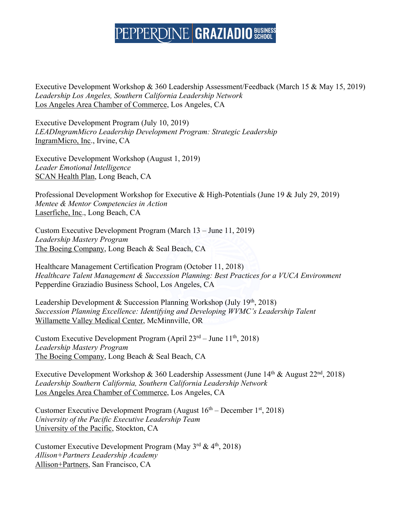Executive Development Workshop & 360 Leadership Assessment/Feedback (March 15 & May 15, 2019) *Leadership Los Angeles, Southern California Leadership Network* Los Angeles Area Chamber of Commerce, Los Angeles, CA

Executive Development Program (July 10, 2019) *LEADIngramMicro Leadership Development Program: Strategic Leadership* IngramMicro, Inc., Irvine, CA

Executive Development Workshop (August 1, 2019) *Leader Emotional Intelligence* SCAN Health Plan, Long Beach, CA

Professional Development Workshop for Executive & High-Potentials (June 19 & July 29, 2019) *Mentee & Mentor Competencies in Action*  Laserfiche, Inc., Long Beach, CA

Custom Executive Development Program (March 13 – June 11, 2019) *Leadership Mastery Program* The Boeing Company, Long Beach & Seal Beach, CA

Healthcare Management Certification Program (October 11, 2018) *Healthcare Talent Management & Succession Planning: Best Practices for a VUCA Environment* Pepperdine Graziadio Business School, Los Angeles, CA

Leadership Development & Succession Planning Workshop (July  $19<sup>th</sup>$ , 2018) *Succession Planning Excellence: Identifying and Developing WVMC's Leadership Talent* Willamette Valley Medical Center, McMinnville, OR

Custom Executive Development Program (April  $23<sup>rd</sup> - June 11<sup>th</sup>$ , 2018) *Leadership Mastery Program* The Boeing Company, Long Beach & Seal Beach, CA

Executive Development Workshop & 360 Leadership Assessment (June  $14<sup>th</sup>$  & August  $22<sup>nd</sup>$ , 2018) *Leadership Southern California, Southern California Leadership Network* Los Angeles Area Chamber of Commerce, Los Angeles, CA

Customer Executive Development Program (August  $16<sup>th</sup>$  – December  $1<sup>st</sup>$ , 2018) *University of the Pacific Executive Leadership Team* University of the Pacific, Stockton, CA

Customer Executive Development Program (May  $3^{rd}$  &  $4^{th}$ , 2018) *Allison+Partners Leadership Academy* Allison+Partners, San Francisco, CA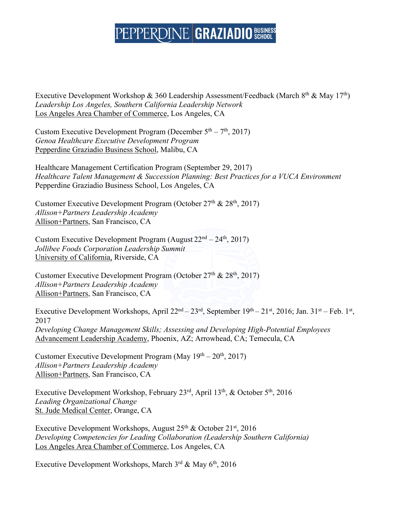Executive Development Workshop & 360 Leadership Assessment/Feedback (March 8<sup>th</sup> & May 17<sup>th</sup>) *Leadership Los Angeles, Southern California Leadership Network* Los Angeles Area Chamber of Commerce, Los Angeles, CA

Custom Executive Development Program (December  $5<sup>th</sup> - 7<sup>th</sup>$ , 2017) *Genoa Healthcare Executive Development Program* Pepperdine Graziadio Business School, Malibu, CA

Healthcare Management Certification Program (September 29, 2017) *Healthcare Talent Management & Succession Planning: Best Practices for a VUCA Environment* Pepperdine Graziadio Business School, Los Angeles, CA

Customer Executive Development Program (October  $27<sup>th</sup>$  &  $28<sup>th</sup>$ , 2017) *Allison+Partners Leadership Academy* Allison+Partners, San Francisco, CA

Custom Executive Development Program (August  $22<sup>nd</sup> – 24<sup>th</sup>$ , 2017) *Jollibee Foods Corporation Leadership Summit* University of California, Riverside, CA

Customer Executive Development Program (October  $27<sup>th</sup>$  &  $28<sup>th</sup>$ , 2017) *Allison+Partners Leadership Academy* Allison+Partners, San Francisco, CA

Executive Development Workshops, April 22<sup>nd</sup> – 23<sup>rd</sup>, September 19<sup>th</sup> – 21<sup>st</sup>, 2016; Jan. 31<sup>st</sup> – Feb. 1<sup>st</sup>, 2017 *Developing Change Management Skills; Assessing and Developing High-Potential Employees* Advancement Leadership Academy, Phoenix, AZ; Arrowhead, CA; Temecula, CA

Customer Executive Development Program (May 19<sup>th</sup> – 20<sup>th</sup>, 2017) *Allison+Partners Leadership Academy* Allison+Partners, San Francisco, CA

Executive Development Workshop, February 23rd, April 13th, & October 5th, 2016 *Leading Organizational Change* St. Jude Medical Center, Orange, CA

Executive Development Workshops, August  $25<sup>th</sup>$  & October  $21<sup>st</sup>$ , 2016 *Developing Competencies for Leading Collaboration (Leadership Southern California)* Los Angeles Area Chamber of Commerce, Los Angeles, CA

Executive Development Workshops, March 3<sup>rd</sup> & May 6<sup>th</sup>, 2016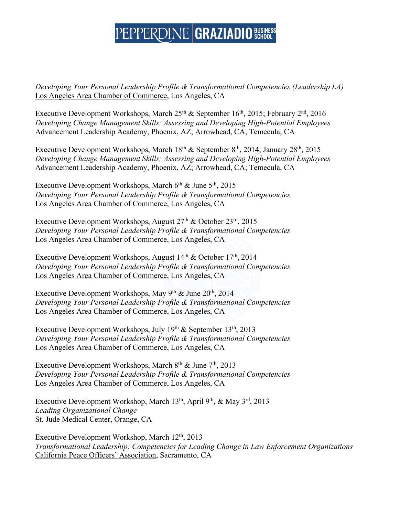*Developing Your Personal Leadership Profile & Transformational Competencies (Leadership LA)* Los Angeles Area Chamber of Commerce, Los Angeles, CA

Executive Development Workshops, March  $25<sup>th</sup>$  & September 16<sup>th</sup>, 2015; February  $2<sup>nd</sup>$ , 2016 *Developing Change Management Skills; Assessing and Developing High-Potential Employees* Advancement Leadership Academy, Phoenix, AZ; Arrowhead, CA; Temecula, CA

Executive Development Workshops, March  $18<sup>th</sup>$  & September  $8<sup>th</sup>$ , 2014; January 28<sup>th</sup>, 2015 *Developing Change Management Skills; Assessing and Developing High-Potential Employees* Advancement Leadership Academy, Phoenix, AZ; Arrowhead, CA; Temecula, CA

Executive Development Workshops, March 6<sup>th</sup> & June 5<sup>th</sup>, 2015 *Developing Your Personal Leadership Profile & Transformational Competencies* Los Angeles Area Chamber of Commerce, Los Angeles, CA

Executive Development Workshops, August  $27<sup>th</sup>$  & October  $23<sup>rd</sup>$ ,  $2015$ *Developing Your Personal Leadership Profile & Transformational Competencies* Los Angeles Area Chamber of Commerce, Los Angeles, CA

Executive Development Workshops, August  $14<sup>th</sup>$  & October  $17<sup>th</sup>$ , 2014 *Developing Your Personal Leadership Profile & Transformational Competencies* Los Angeles Area Chamber of Commerce, Los Angeles, CA

Executive Development Workshops, May 9<sup>th</sup> & June 20<sup>th</sup>, 2014 *Developing Your Personal Leadership Profile & Transformational Competencies* Los Angeles Area Chamber of Commerce, Los Angeles, CA

Executive Development Workshops, July 19<sup>th</sup> & September 13<sup>th</sup>, 2013 *Developing Your Personal Leadership Profile & Transformational Competencies* Los Angeles Area Chamber of Commerce, Los Angeles, CA

Executive Development Workshops, March  $8<sup>th</sup>$  & June  $7<sup>th</sup>$ , 2013 *Developing Your Personal Leadership Profile & Transformational Competencies* Los Angeles Area Chamber of Commerce, Los Angeles, CA

Executive Development Workshop, March 13th, April 9th, & May 3rd, 2013 *Leading Organizational Change* St. Jude Medical Center, Orange, CA

Executive Development Workshop, March 12<sup>th</sup>, 2013 *Transformational Leadership: Competencies for Leading Change in Law Enforcement Organizations* California Peace Officers' Association, Sacramento, CA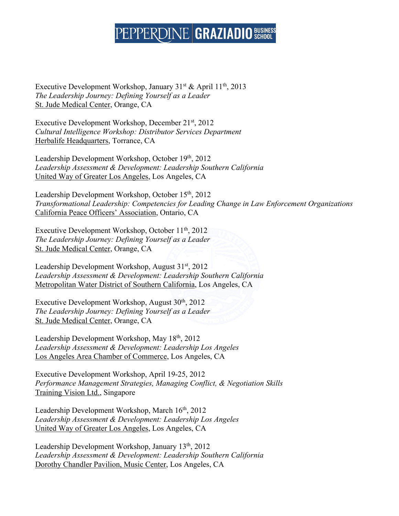Executive Development Workshop, January 31<sup>st</sup> & April 11<sup>th</sup>, 2013 *The Leadership Journey: Defining Yourself as a Leader* St. Jude Medical Center, Orange, CA

Executive Development Workshop, December 21st, 2012 *Cultural Intelligence Workshop: Distributor Services Department* Herbalife Headquarters, Torrance, CA

Leadership Development Workshop, October 19th, 2012 *Leadership Assessment & Development: Leadership Southern California* United Way of Greater Los Angeles, Los Angeles, CA

Leadership Development Workshop, October 15<sup>th</sup>, 2012 *Transformational Leadership: Competencies for Leading Change in Law Enforcement Organizations* California Peace Officers' Association, Ontario, CA

Executive Development Workshop, October  $11<sup>th</sup>$ , 2012 *The Leadership Journey: Defining Yourself as a Leader* St. Jude Medical Center, Orange, CA

Leadership Development Workshop, August 31st, 2012 *Leadership Assessment & Development: Leadership Southern California* Metropolitan Water District of Southern California, Los Angeles, CA

Executive Development Workshop, August  $30<sup>th</sup>$ ,  $2012$ *The Leadership Journey: Defining Yourself as a Leader* St. Jude Medical Center, Orange, CA

Leadership Development Workshop, May 18th, 2012 *Leadership Assessment & Development: Leadership Los Angeles* Los Angeles Area Chamber of Commerce, Los Angeles, CA

Executive Development Workshop, April 19-25, 2012 *Performance Management Strategies, Managing Conflict, & Negotiation Skills*  Training Vision Ltd., Singapore

Leadership Development Workshop, March 16<sup>th</sup>, 2012 *Leadership Assessment & Development: Leadership Los Angeles* United Way of Greater Los Angeles, Los Angeles, CA

Leadership Development Workshop, January 13<sup>th</sup>, 2012 *Leadership Assessment & Development: Leadership Southern California* Dorothy Chandler Pavilion, Music Center, Los Angeles, CA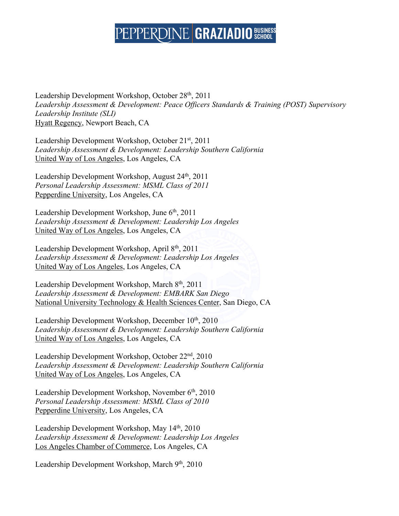Leadership Development Workshop, October 28th, 2011 *Leadership Assessment & Development: Peace Officers Standards & Training (POST) Supervisory Leadership Institute (SLI)* Hyatt Regency, Newport Beach, CA

Leadership Development Workshop, October 21st, 2011 *Leadership Assessment & Development: Leadership Southern California* United Way of Los Angeles, Los Angeles, CA

Leadership Development Workshop, August 24<sup>th</sup>, 2011 *Personal Leadership Assessment: MSML Class of 2011* Pepperdine University, Los Angeles, CA

Leadership Development Workshop, June 6<sup>th</sup>, 2011 *Leadership Assessment & Development: Leadership Los Angeles* United Way of Los Angeles, Los Angeles, CA

Leadership Development Workshop, April 8th, 2011 *Leadership Assessment & Development: Leadership Los Angeles* United Way of Los Angeles, Los Angeles, CA

Leadership Development Workshop, March 8<sup>th</sup>, 2011 *Leadership Assessment & Development: EMBARK San Diego* National University Technology & Health Sciences Center, San Diego, CA

Leadership Development Workshop, December 10<sup>th</sup>, 2010 *Leadership Assessment & Development: Leadership Southern California* United Way of Los Angeles, Los Angeles, CA

Leadership Development Workshop, October 22nd, 2010 *Leadership Assessment & Development: Leadership Southern California* United Way of Los Angeles, Los Angeles, CA

Leadership Development Workshop, November 6<sup>th</sup>, 2010 *Personal Leadership Assessment: MSML Class of 2010* Pepperdine University, Los Angeles, CA

Leadership Development Workshop, May 14<sup>th</sup>, 2010 *Leadership Assessment & Development: Leadership Los Angeles* Los Angeles Chamber of Commerce, Los Angeles, CA

Leadership Development Workshop, March 9<sup>th</sup>, 2010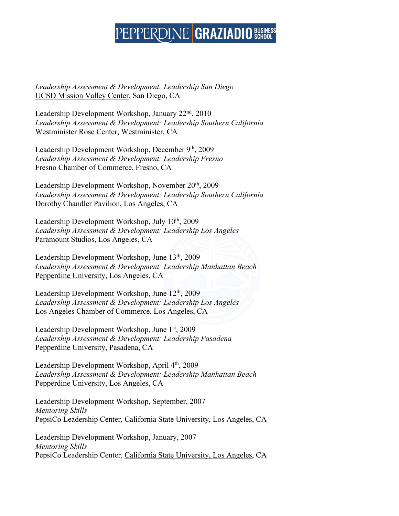*Leadership Assessment & Development: Leadership San Diego* UCSD Mission Valley Center, San Diego, CA

Leadership Development Workshop, January 22<sup>nd</sup>, 2010 *Leadership Assessment & Development: Leadership Southern California* Westminister Rose Center, Westminister, CA

Leadership Development Workshop, December 9th, 2009 *Leadership Assessment & Development: Leadership Fresno* Fresno Chamber of Commerce, Fresno, CA

Leadership Development Workshop, November 20<sup>th</sup>, 2009 *Leadership Assessment & Development: Leadership Southern California* Dorothy Chandler Pavilion, Los Angeles, CA

Leadership Development Workshop, July 10<sup>th</sup>, 2009 *Leadership Assessment & Development: Leadership Los Angeles* Paramount Studios, Los Angeles, CA

Leadership Development Workshop, June 13<sup>th</sup>, 2009 *Leadership Assessment & Development: Leadership Manhattan Beach* Pepperdine University, Los Angeles, CA

Leadership Development Workshop, June 12<sup>th</sup>, 2009 *Leadership Assessment & Development: Leadership Los Angeles* Los Angeles Chamber of Commerce, Los Angeles, CA

Leadership Development Workshop, June 1<sup>st</sup>, 2009 *Leadership Assessment & Development: Leadership Pasadena* Pepperdine University, Pasadena, CA

Leadership Development Workshop, April 4<sup>th</sup>, 2009 *Leadership Assessment & Development: Leadership Manhattan Beach* Pepperdine University, Los Angeles, CA

Leadership Development Workshop, September, 2007 *Mentoring Skills* PepsiCo Leadership Center, California State University, Los Angeles, CA

Leadership Development Workshop, January, 2007 *Mentoring Skills* PepsiCo Leadership Center, California State University, Los Angeles, CA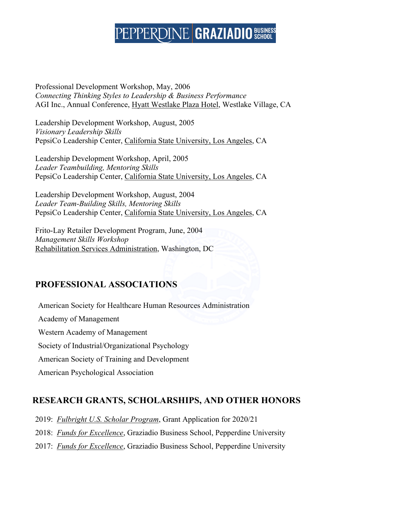Professional Development Workshop, May, 2006 *Connecting Thinking Styles to Leadership & Business Performance* AGI Inc., Annual Conference, Hyatt Westlake Plaza Hotel, Westlake Village, CA

Leadership Development Workshop, August, 2005 *Visionary Leadership Skills* PepsiCo Leadership Center, California State University, Los Angeles, CA

Leadership Development Workshop, April, 2005 *Leader Teambuilding, Mentoring Skills* PepsiCo Leadership Center, California State University, Los Angeles, CA

Leadership Development Workshop, August, 2004 *Leader Team-Building Skills, Mentoring Skills* PepsiCo Leadership Center, California State University, Los Angeles, CA

Frito-Lay Retailer Development Program, June, 2004 *Management Skills Workshop* Rehabilitation Services Administration, Washington, DC

### **PROFESSIONAL ASSOCIATIONS**

American Society for Healthcare Human Resources Administration Academy of Management Western Academy of Management Society of Industrial/Organizational Psychology American Society of Training and Development American Psychological Association

### **RESEARCH GRANTS, SCHOLARSHIPS, AND OTHER HONORS**

- 2019: *Fulbright U.S. Scholar Program*, Grant Application for 2020/21
- 2018: *Funds for Excellence*, Graziadio Business School, Pepperdine University
- 2017: *Funds for Excellence*, Graziadio Business School, Pepperdine University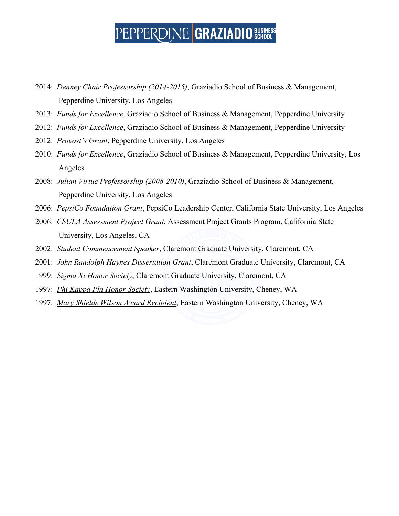- 2014: *Denney Chair Professorship (2014-2015)*, Graziadio School of Business & Management, Pepperdine University, Los Angeles
- 2013: *Funds for Excellence*, Graziadio School of Business & Management, Pepperdine University
- 2012: *Funds for Excellence*, Graziadio School of Business & Management, Pepperdine University
- 2012: *Provost's Grant*, Pepperdine University, Los Angeles
- 2010: *Funds for Excellence*, Graziadio School of Business & Management, Pepperdine University, Los Angeles
- 2008: *Julian Virtue Professorship (2008-2010)*, Graziadio School of Business & Management, Pepperdine University, Los Angeles
- 2006: *PepsiCo Foundation Grant*, PepsiCo Leadership Center, California State University, Los Angeles
- 2006: *CSULA Assessment Project Grant*, Assessment Project Grants Program, California State University, Los Angeles, CA
- 2002: *Student Commencement Speaker*, Claremont Graduate University, Claremont, CA
- 2001: *John Randolph Haynes Dissertation Grant*, Claremont Graduate University, Claremont, CA
- 1999: *Sigma Xi Honor Society*, Claremont Graduate University, Claremont, CA
- 1997: *Phi Kappa Phi Honor Society*, Eastern Washington University, Cheney, WA
- 1997: *Mary Shields Wilson Award Recipient*, Eastern Washington University, Cheney, WA